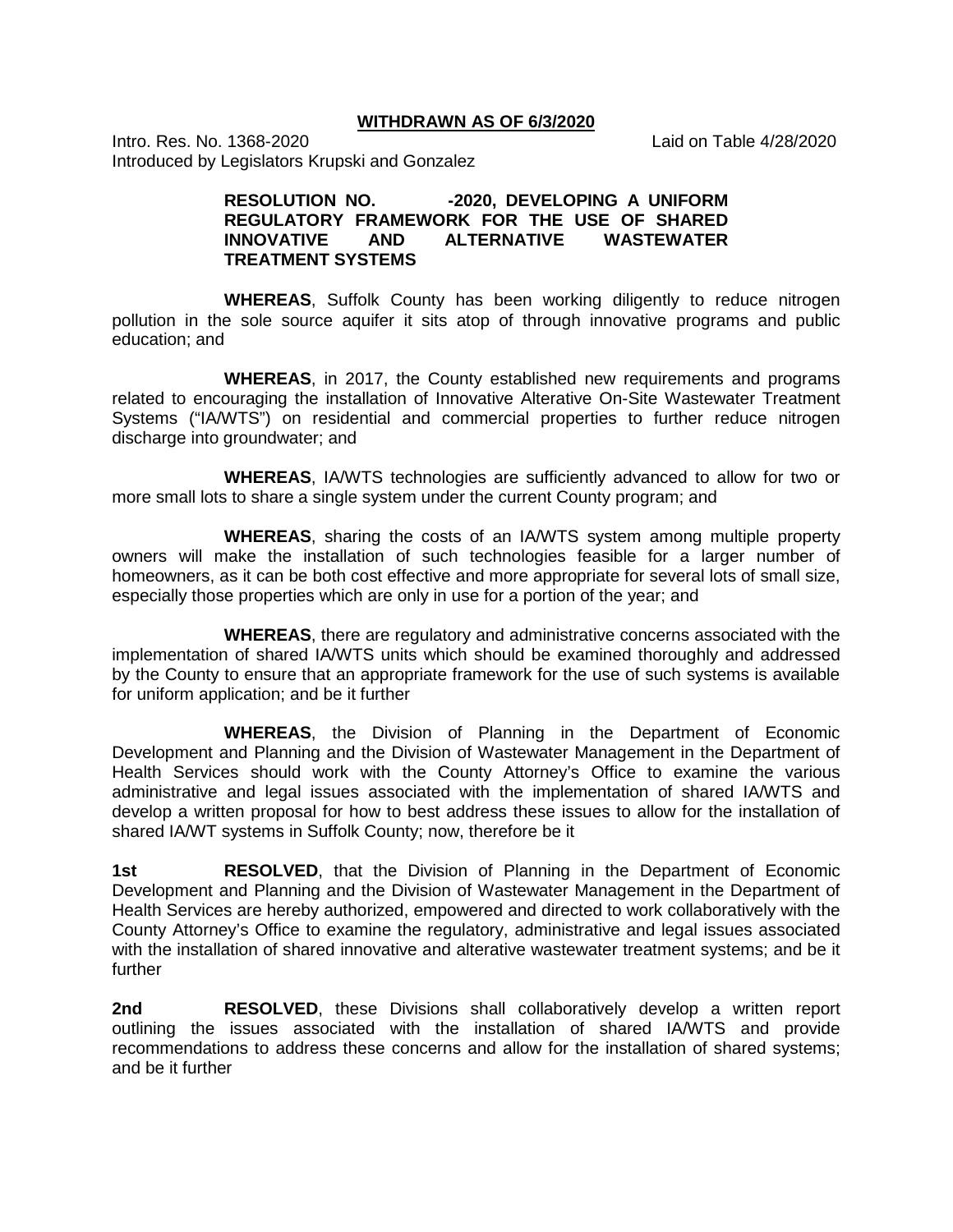**WITHDRAWN AS OF 6/3/2020**

Intro. Res. No. 1368-2020 Laid on Table 4/28/2020 Introduced by Legislators Krupski and Gonzalez

## RESOLUTION NO. -2020, DEVELOPING A UNIFORM **REGULATORY FRAMEWORK FOR THE USE OF SHARED INNOVATIVE AND ALTERNATIVE WASTEWATER TREATMENT SYSTEMS**

**WHEREAS**, Suffolk County has been working diligently to reduce nitrogen pollution in the sole source aquifer it sits atop of through innovative programs and public education; and

**WHEREAS**, in 2017, the County established new requirements and programs related to encouraging the installation of Innovative Alterative On-Site Wastewater Treatment Systems ("IA/WTS") on residential and commercial properties to further reduce nitrogen discharge into groundwater; and

**WHEREAS**, IA/WTS technologies are sufficiently advanced to allow for two or more small lots to share a single system under the current County program; and

**WHEREAS**, sharing the costs of an IA/WTS system among multiple property owners will make the installation of such technologies feasible for a larger number of homeowners, as it can be both cost effective and more appropriate for several lots of small size, especially those properties which are only in use for a portion of the year; and

**WHEREAS**, there are regulatory and administrative concerns associated with the implementation of shared IA/WTS units which should be examined thoroughly and addressed by the County to ensure that an appropriate framework for the use of such systems is available for uniform application; and be it further

**WHEREAS**, the Division of Planning in the Department of Economic Development and Planning and the Division of Wastewater Management in the Department of Health Services should work with the County Attorney's Office to examine the various administrative and legal issues associated with the implementation of shared IA/WTS and develop a written proposal for how to best address these issues to allow for the installation of shared IA/WT systems in Suffolk County; now, therefore be it

**1st RESOLVED**, that the Division of Planning in the Department of Economic Development and Planning and the Division of Wastewater Management in the Department of Health Services are hereby authorized, empowered and directed to work collaboratively with the County Attorney's Office to examine the regulatory, administrative and legal issues associated with the installation of shared innovative and alterative wastewater treatment systems; and be it further

**2nd RESOLVED**, these Divisions shall collaboratively develop a written report outlining the issues associated with the installation of shared IA/WTS and provide recommendations to address these concerns and allow for the installation of shared systems; and be it further